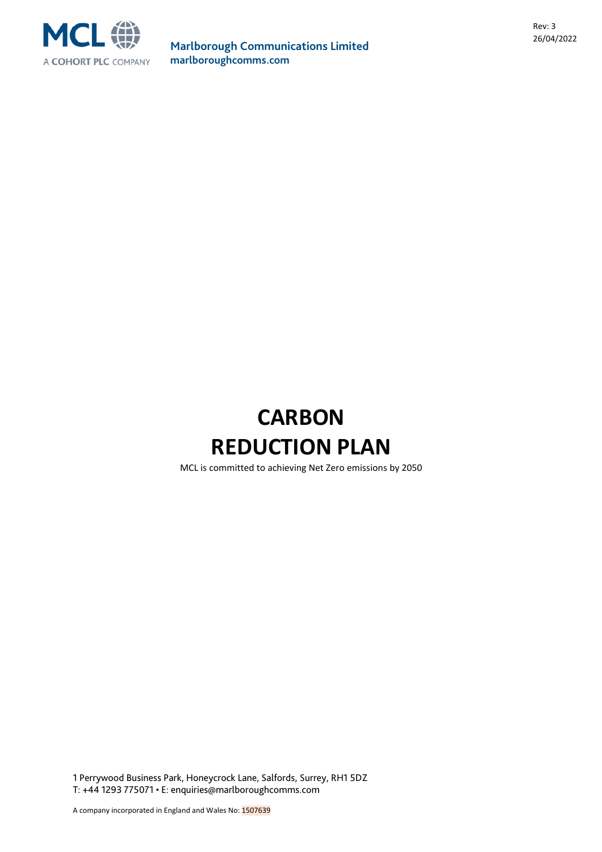

# **CARBON REDUCTION PLAN**

MCL is committed to achieving Net Zero emissions by 2050

1 Perrywood Business Park, Honeycrock Lane, Salfords, Surrey, RH1 5DZ T: +44 1293 775071 • E: enquiries@marlboroughcomms.com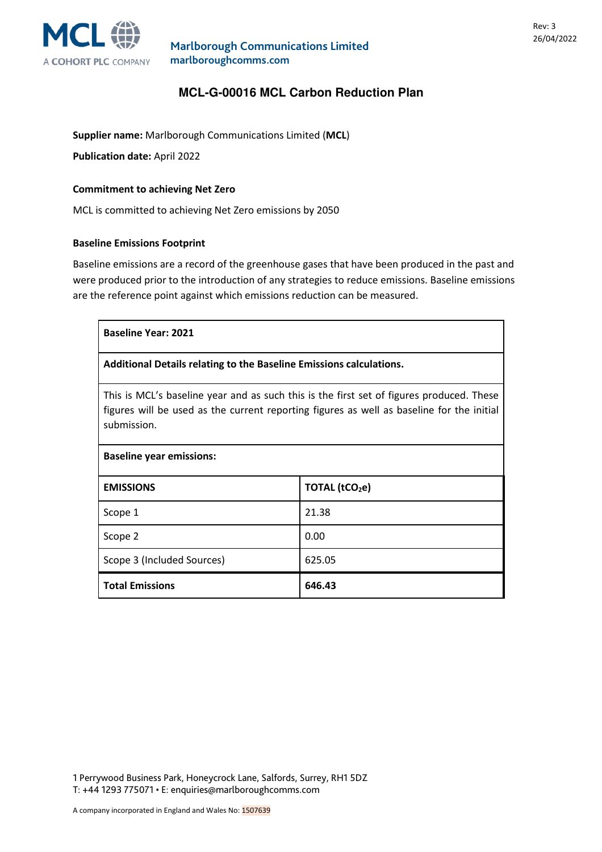

# **MCL-G-00016 MCL Carbon Reduction Plan**

**Supplier name:** Marlborough Communications Limited (**MCL**)

**Publication date:** April 2022

#### **Commitment to achieving Net Zero**

MCL is committed to achieving Net Zero emissions by 2050

#### **Baseline Emissions Footprint**

Baseline emissions are a record of the greenhouse gases that have been produced in the past and were produced prior to the introduction of any strategies to reduce emissions. Baseline emissions are the reference point against which emissions reduction can be measured.

| <b>Baseline Year: 2021</b>                                                                                                                                                                           |                            |  |
|------------------------------------------------------------------------------------------------------------------------------------------------------------------------------------------------------|----------------------------|--|
| Additional Details relating to the Baseline Emissions calculations.                                                                                                                                  |                            |  |
| This is MCL's baseline year and as such this is the first set of figures produced. These<br>figures will be used as the current reporting figures as well as baseline for the initial<br>submission. |                            |  |
| <b>Baseline year emissions:</b>                                                                                                                                                                      |                            |  |
| <b>EMISSIONS</b>                                                                                                                                                                                     | TOTAL (tCO <sub>2</sub> e) |  |
| Scope 1                                                                                                                                                                                              | 21.38                      |  |
| Scope 2                                                                                                                                                                                              | 0.00                       |  |
| Scope 3 (Included Sources)                                                                                                                                                                           | 625.05                     |  |
| <b>Total Emissions</b>                                                                                                                                                                               | 646.43                     |  |

1 Perrywood Business Park, Honeycrock Lane, Salfords, Surrey, RH1 5DZ T: +44 1293 775071 • E: enquiries@marlboroughcomms.com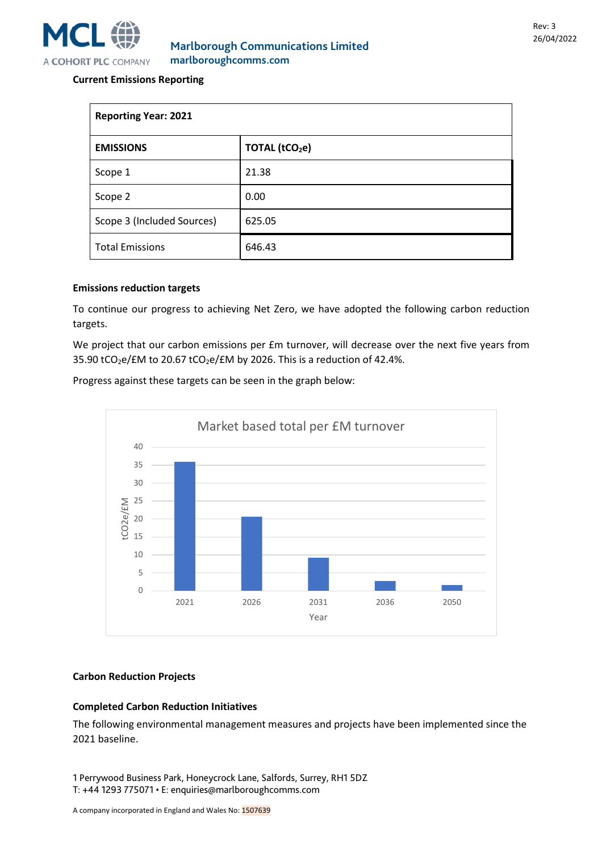

### **Current Emissions Reporting**

| <b>Reporting Year: 2021</b> |                            |  |
|-----------------------------|----------------------------|--|
| <b>EMISSIONS</b>            | TOTAL (tCO <sub>2</sub> e) |  |
| Scope 1                     | 21.38                      |  |
| Scope 2                     | 0.00                       |  |
| Scope 3 (Included Sources)  | 625.05                     |  |
| <b>Total Emissions</b>      | 646.43                     |  |

#### **Emissions reduction targets**

To continue our progress to achieving Net Zero, we have adopted the following carbon reduction targets.

We project that our carbon emissions per £m turnover, will decrease over the next five years from 35.90 tCO<sub>2</sub>e/£M to 20.67 tCO<sub>2</sub>e/£M by 2026. This is a reduction of 42.4%.

Progress against these targets can be seen in the graph below:



#### **Carbon Reduction Projects**

#### **Completed Carbon Reduction Initiatives**

The following environmental management measures and projects have been implemented since the 2021 baseline.

1 Perrywood Business Park, Honeycrock Lane, Salfords, Surrey, RH1 5DZ T: +44 1293 775071 • E: enquiries@marlboroughcomms.com